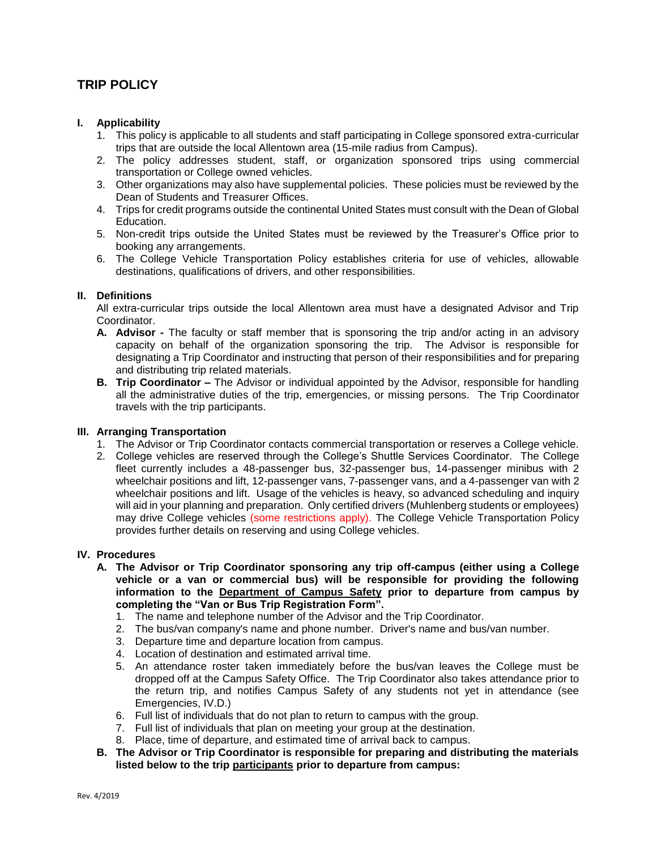# **TRIP POLICY**

## **I. Applicability**

- 1. This policy is applicable to all students and staff participating in College sponsored extra-curricular trips that are outside the local Allentown area (15-mile radius from Campus).
- 2. The policy addresses student, staff, or organization sponsored trips using commercial transportation or College owned vehicles.
- 3. Other organizations may also have supplemental policies. These policies must be reviewed by the Dean of Students and Treasurer Offices.
- 4. Trips for credit programs outside the continental United States must consult with the Dean of Global Education.
- 5. Non-credit trips outside the United States must be reviewed by the Treasurer's Office prior to booking any arrangements.
- 6. The College Vehicle Transportation Policy establishes criteria for use of vehicles, allowable destinations, qualifications of drivers, and other responsibilities.

## **II. Definitions**

All extra-curricular trips outside the local Allentown area must have a designated Advisor and Trip Coordinator.

- **A. Advisor -** The faculty or staff member that is sponsoring the trip and/or acting in an advisory capacity on behalf of the organization sponsoring the trip. The Advisor is responsible for designating a Trip Coordinator and instructing that person of their responsibilities and for preparing and distributing trip related materials.
- **B. Trip Coordinator –** The Advisor or individual appointed by the Advisor, responsible for handling all the administrative duties of the trip, emergencies, or missing persons. The Trip Coordinator travels with the trip participants.

## **III. Arranging Transportation**

- 1. The Advisor or Trip Coordinator contacts commercial transportation or reserves a College vehicle.
- 2. College vehicles are reserved through the College's Shuttle Services Coordinator. The College fleet currently includes a 48-passenger bus, 32-passenger bus, 14-passenger minibus with 2 wheelchair positions and lift, 12-passenger vans, 7-passenger vans, and a 4-passenger van with 2 wheelchair positions and lift. Usage of the vehicles is heavy, so advanced scheduling and inquiry will aid in your planning and preparation. Only certified drivers (Muhlenberg students or employees) may drive College vehicles (some restrictions apply). The College Vehicle Transportation Policy provides further details on reserving and using College vehicles.

## **IV. Procedures**

- **A. The Advisor or Trip Coordinator sponsoring any trip off-campus (either using a College vehicle or a van or commercial bus) will be responsible for providing the following information to the Department of Campus Safety prior to departure from campus by completing the "Van or Bus Trip Registration Form".**
	- 1. The name and telephone number of the Advisor and the Trip Coordinator.
	- 2. The bus/van company's name and phone number. Driver's name and bus/van number.
	- 3. Departure time and departure location from campus.
	- 4. Location of destination and estimated arrival time.
	- 5. An attendance roster taken immediately before the bus/van leaves the College must be dropped off at the Campus Safety Office. The Trip Coordinator also takes attendance prior to the return trip, and notifies Campus Safety of any students not yet in attendance (see Emergencies, IV.D.)
	- 6. Full list of individuals that do not plan to return to campus with the group.
	- 7. Full list of individuals that plan on meeting your group at the destination.
	- 8. Place, time of departure, and estimated time of arrival back to campus.
- **B. The Advisor or Trip Coordinator is responsible for preparing and distributing the materials listed below to the trip participants prior to departure from campus:**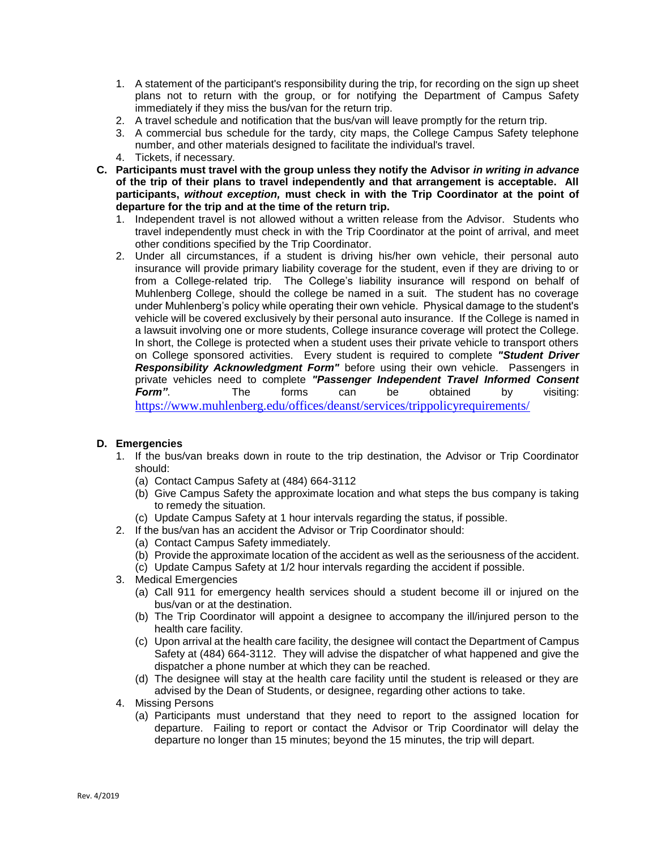- 1. A statement of the participant's responsibility during the trip, for recording on the sign up sheet plans not to return with the group, or for notifying the Department of Campus Safety immediately if they miss the bus/van for the return trip.
- 2. A travel schedule and notification that the bus/van will leave promptly for the return trip.
- 3. A commercial bus schedule for the tardy, city maps, the College Campus Safety telephone number, and other materials designed to facilitate the individual's travel.
- 4. Tickets, if necessary.
- **C. Participants must travel with the group unless they notify the Advisor** *in writing in advance* **of the trip of their plans to travel independently and that arrangement is acceptable. All participants,** *without exception,* **must check in with the Trip Coordinator at the point of departure for the trip and at the time of the return trip.** 
	- 1. Independent travel is not allowed without a written release from the Advisor. Students who travel independently must check in with the Trip Coordinator at the point of arrival, and meet other conditions specified by the Trip Coordinator.
	- 2. Under all circumstances, if a student is driving his/her own vehicle, their personal auto insurance will provide primary liability coverage for the student, even if they are driving to or from a College-related trip. The College's liability insurance will respond on behalf of Muhlenberg College, should the college be named in a suit. The student has no coverage under Muhlenberg's policy while operating their own vehicle. Physical damage to the student's vehicle will be covered exclusively by their personal auto insurance. If the College is named in a lawsuit involving one or more students, College insurance coverage will protect the College. In short, the College is protected when a student uses their private vehicle to transport others on College sponsored activities. Every student is required to complete *"Student Driver Responsibility Acknowledgment Form"* before using their own vehicle. Passengers in private vehicles need to complete *"Passenger Independent Travel Informed Consent Form"*. The forms can be obtained by visiting: <https://www.muhlenberg.edu/offices/deanst/services/trippolicyrequirements/>

# **D. Emergencies**

- 1. If the bus/van breaks down in route to the trip destination, the Advisor or Trip Coordinator should:
	- (a) Contact Campus Safety at (484) 664-3112
	- (b) Give Campus Safety the approximate location and what steps the bus company is taking to remedy the situation.
	- (c) Update Campus Safety at 1 hour intervals regarding the status, if possible.
- 2. If the bus/van has an accident the Advisor or Trip Coordinator should:
	- (a) Contact Campus Safety immediately.
		- (b) Provide the approximate location of the accident as well as the seriousness of the accident.
	- (c) Update Campus Safety at 1/2 hour intervals regarding the accident if possible.
- 3. Medical Emergencies
	- (a) Call 911 for emergency health services should a student become ill or injured on the bus/van or at the destination.
	- (b) The Trip Coordinator will appoint a designee to accompany the ill/injured person to the health care facility.
	- (c) Upon arrival at the health care facility, the designee will contact the Department of Campus Safety at (484) 664-3112. They will advise the dispatcher of what happened and give the dispatcher a phone number at which they can be reached.
	- (d) The designee will stay at the health care facility until the student is released or they are advised by the Dean of Students, or designee, regarding other actions to take.
- 4. Missing Persons
	- (a) Participants must understand that they need to report to the assigned location for departure. Failing to report or contact the Advisor or Trip Coordinator will delay the departure no longer than 15 minutes; beyond the 15 minutes, the trip will depart.